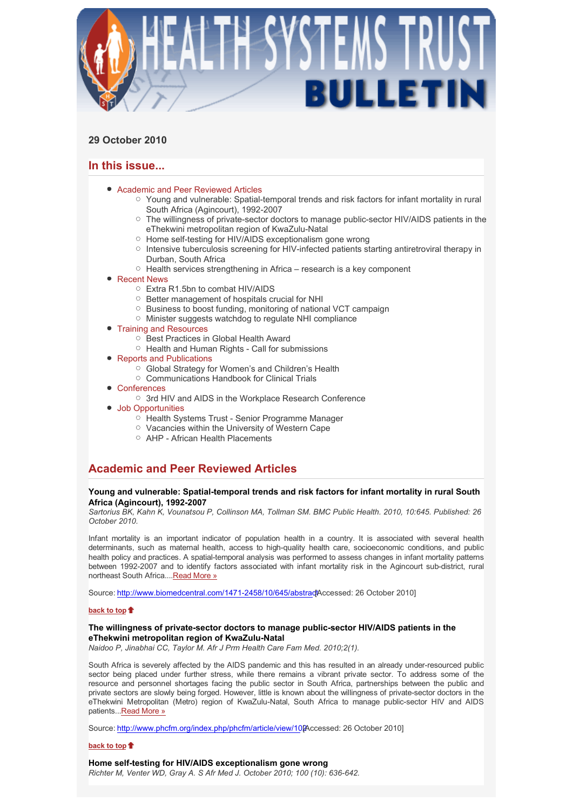

## **29 October 2010**

## **In this issue...**

- Academic and Peer Reviewed Articles
	- $\circ$  Young and vulnerable: Spatial-temporal trends and risk factors for infant mortality in rural South Africa (Agincourt), 1992-2007
	- $\circ$  The willingness of private-sector doctors to manage public-sector HIV/AIDS patients in the eThekwini metropolitan region of KwaZulu-Natal
	- Home self-testing for HIV/AIDS exceptionalism gone wrong
	- o Intensive tuberculosis screening for HIV-infected patients starting antiretroviral therapy in Durban, South Africa
	- $\circ$  Health services strengthening in Africa research is a key component
- Recent News
	- Extra R1.5bn to combat HIV/AIDS
	- Better management of hospitals crucial for NHI
	- Business to boost funding, monitoring of national VCT campaign
	- Minister suggests watchdog to regulate NHI compliance
- Training and Resources
	- O Best Practices in Global Health Award
	- Health and Human Rights Call for submissions
- Reports and Publications
	- Global Strategy for Women's and Children's Health
	- Communications Handbook for Clinical Trials
- Conferences
	- 3rd HIV and AIDS in the Workplace Research Conference
- Job Opportunities
	- Health Systems Trust Senior Programme Manager
	- Vacancies within the University of Western Cape
	- AHP African Health Placements

# **Academic and Peer Reviewed Articles**

## **Young and vulnerable: Spatial-temporal trends and risk factors for infant mortality in rural South Africa (Agincourt), 1992-2007**

*Sartorius BK, Kahn K, Vounatsou P, Collinson MA, Tollman SM. BMC Public Health. 2010, 10:645. Published: 26 October 2010.* 

Infant mortality is an important indicator of population health in a country. It is associated with several health determinants, such as maternal health, access to high-quality health care, socioeconomic conditions, and public health policy and practices. A spatial-temporal analysis was performed to assess changes in infant mortality patterns between 1992-2007 and to identify factors associated with infant mortality risk in the Agincourt sub-district, rural northeast South Africa....Read More »

Source: http://www.biomedcentral.com/1471-2458/10/645/abstradtAccessed: 26 October 2010]

#### **back to top**

## **The willingness of private-sector doctors to manage public-sector HIV/AIDS patients in the eThekwini metropolitan region of KwaZulu-Natal**

*Naidoo P, Jinabhai CC, Taylor M. Afr J Prm Health Care Fam Med. 2010;2(1).*

South Africa is severely affected by the AIDS pandemic and this has resulted in an already under-resourced public sector being placed under further stress, while there remains a vibrant private sector. To address some of the resource and personnel shortages facing the public sector in South Africa, partnerships between the public and private sectors are slowly being forged. However, little is known about the willingness of private-sector doctors in the eThekwini Metropolitan (Metro) region of KwaZulu-Natal, South Africa to manage public-sector HIV and AIDS patients...Read More »

Source: http://www.phcfm.org/index.php/phcfm/article/view/102Accessed: 26 October 2010]

## **back to top**

## **Home self-testing for HIV/AIDS exceptionalism gone wrong**

*Richter M, Venter WD, Gray A. S Afr Med J. October 2010; 100 (10): 636-642.*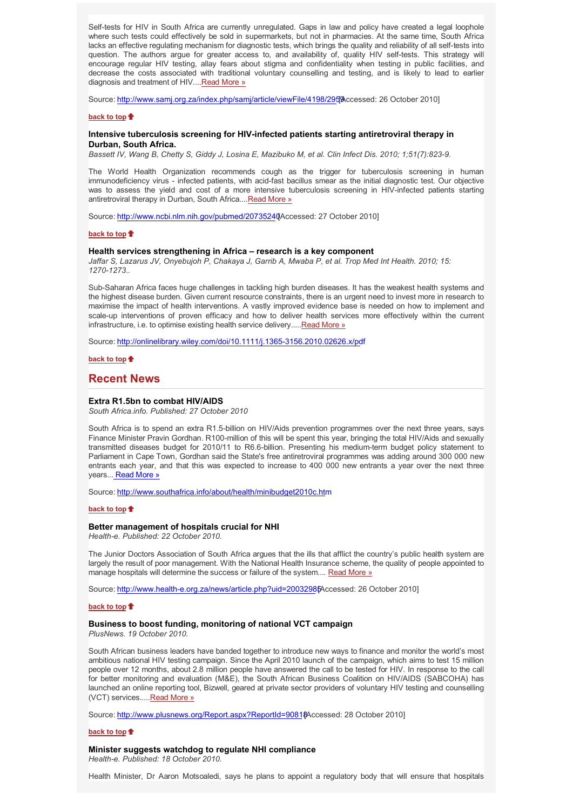Self-tests for HIV in South Africa are currently unregulated. Gaps in law and policy have created a legal loophole where such tests could effectively be sold in supermarkets, but not in pharmacies. At the same time, South Africa lacks an effective regulating mechanism for diagnostic tests, which brings the quality and reliability of all self-tests into question. The authors argue for greater access to, and availability of, quality HIV self-tests. This strategy will encourage regular HIV testing, allay fears about stigma and confidentiality when testing in public facilities, and decrease the costs associated with traditional voluntary counselling and testing, and is likely to lead to earlier diagnosis and treatment of HIV....Read More »

Source: http://www.samj.org.za/index.php/samj/article/viewFile/4198/295 [Accessed: 26 October 2010]

#### **back to top**

## **Intensive tuberculosis screening for HIV-infected patients starting antiretroviral therapy in Durban, South Africa.**

*Bassett IV, Wang B, Chetty S, Giddy J, Losina E, Mazibuko M, et al. Clin Infect Dis. 2010; 1;51(7):823-9.* 

The World Health Organization recommends cough as the trigger for tuberculosis screening in human immunodeficiency virus - infected patients, with acid-fast bacillus smear as the initial diagnostic test. Our objective was to assess the yield and cost of a more intensive tuberculosis screening in HIV-infected patients starting antiretroviral therapy in Durban, South Africa....Read More »

Source: http://www.ncbi.nlm.nih.gov/pubmed/20735240 Accessed: 27 October 2010]

#### **back to top**

#### **Health services strengthening in Africa – research is a key component**

*Jaffar S, Lazarus JV, Onyebujoh P, Chakaya J, Garrib A, Mwaba P, et al. Trop Med Int Health. 2010; 15: 1270-1273..* 

Sub-Saharan Africa faces huge challenges in tackling high burden diseases. It has the weakest health systems and the highest disease burden. Given current resource constraints, there is an urgent need to invest more in research to maximise the impact of health interventions. A vastly improved evidence base is needed on how to implement and scale-up interventions of proven efficacy and how to deliver health services more effectively within the current infrastructure, i.e. to optimise existing health service delivery..... Read More »

Source: http://onlinelibrary.wiley.com/doi/10.1111/j.1365-3156.2010.02626.x/pdf

**back to top**

## **Recent News**

#### **Extra R1.5bn to combat HIV/AIDS**

*South Africa.info. Published: 27 October 2010*

South Africa is to spend an extra R1.5-billion on HIV/Aids prevention programmes over the next three years, says Finance Minister Pravin Gordhan. R100-million of this will be spent this year, bringing the total HIV/Aids and sexually transmitted diseases budget for 2010/11 to R6.6-billion. Presenting his medium-term budget policy statement to Parliament in Cape Town, Gordhan said the State's free antiretroviral programmes was adding around 300 000 new entrants each year, and that this was expected to increase to 400 000 new entrants a year over the next three years... Read More »

Source: http://www.southafrica.info/about/health/minibudget2010c.htm

### **back to top**

#### **Better management of hospitals crucial for NHI**

*Health-e. Published: 22 October 2010.*

The Junior Doctors Association of South Africa argues that the ills that afflict the country's public health system are largely the result of poor management. With the National Health Insurance scheme, the quality of people appointed to manage hospitals will determine the success or failure of the system.... Read More »

Source: http://www.health-e.org.za/news/article.php?uid=20032985Accessed: 26 October 2010]

#### **back to top**

#### **Business to boost funding, monitoring of national VCT campaign**

*PlusNews. 19 October 2010.*

South African business leaders have banded together to introduce new ways to finance and monitor the world's most ambitious national HIV testing campaign. Since the April 2010 launch of the campaign, which aims to test 15 million people over 12 months, about 2.8 million people have answered the call to be tested for HIV. In response to the call for better monitoring and evaluation (M&E), the South African Business Coalition on HIV/AIDS (SABCOHA) has launched an online reporting tool, Bizwell, geared at private sector providers of voluntary HIV testing and counselling (VCT) services.....Read More »

Source: http://www.plusnews.org/Report.aspx?ReportId=90818Accessed: 28 October 2010]

#### **back to top**

#### **Minister suggests watchdog to regulate NHI compliance**

*Health-e. Published: 18 October 2010.*

Health Minister, Dr Aaron Motsoaledi, says he plans to appoint a regulatory body that will ensure that hospitals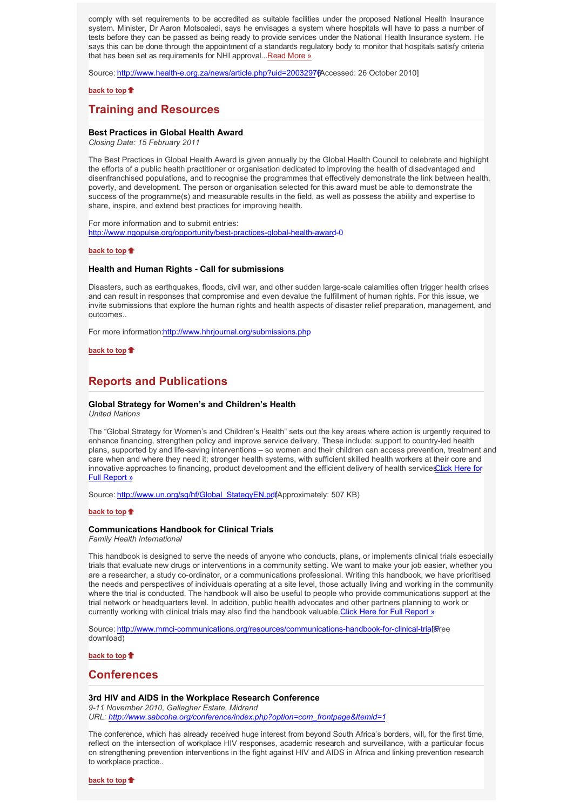comply with set requirements to be accredited as suitable facilities under the proposed National Health Insurance system. Minister, Dr Aaron Motsoaledi, says he envisages a system where hospitals will have to pass a number of tests before they can be passed as being ready to provide services under the National Health Insurance system. He says this can be done through the appointment of a standards regulatory body to monitor that hospitals satisfy criteria that has been set as requirements for NHI approval...Read More »

Source: http://www.health-e.org.za/news/article.php?uid=20032976 Accessed: 26 October 2010]

#### **back to top**

## **Training and Resources**

### **Best Practices in Global Health Award**

*Closing Date: 15 February 2011*

The Best Practices in Global Health Award is given annually by the Global Health Council to celebrate and highlight the efforts of a public health practitioner or organisation dedicated to improving the health of disadvantaged and disenfranchised populations, and to recognise the programmes that effectively demonstrate the link between health, poverty, and development. The person or organisation selected for this award must be able to demonstrate the success of the programme(s) and measurable results in the field, as well as possess the ability and expertise to share, inspire, and extend best practices for improving health.

For more information and to submit entries: http://www.ngopulse.org/opportunity/best-practices-global-health-award-0

#### **back to top**

#### **Health and Human Rights - Call for submissions**

Disasters, such as earthquakes, floods, civil war, and other sudden large-scale calamities often trigger health crises and can result in responses that compromise and even devalue the fulfillment of human rights. For this issue, we invite submissions that explore the human rights and health aspects of disaster relief preparation, management, and outcomes..

For more information:http://www.hhrjournal.org/submissions.php

**back to top**

## **Reports and Publications**

# **Global Strategy for Women's and Children's Health**

*United Nations*

The "Global Strategy for Women's and Children's Health" sets out the key areas where action is urgently required to enhance financing, strengthen policy and improve service delivery. These include: support to country-led health plans, supported by and life-saving interventions – so women and their children can access prevention, treatment and care when and where they need it; stronger health systems, with sufficient skilled health workers at their core and innovative approaches to financing, product development and the efficient delivery of health services Llick Here for Full Report »

Source: http://www.un.org/sg/hf/Global\_StategyEN.pdfApproximately: 507 KB)

#### **back to top**

### **Communications Handbook for Clinical Trials**

*Family Health International*

This handbook is designed to serve the needs of anyone who conducts, plans, or implements clinical trials especially trials that evaluate new drugs or interventions in a community setting. We want to make your job easier, whether you are a researcher, a study co-ordinator, or a communications professional. Writing this handbook, we have prioritised the needs and perspectives of individuals operating at a site level, those actually living and working in the community where the trial is conducted. The handbook will also be useful to people who provide communications support at the trial network or headquarters level. In addition, public health advocates and other partners planning to work or currently working with clinical trials may also find the handbook valuable. Click Here for Full Report »

Source: http://www.mmci-communications.org/resources/communications-handbook-for-clinical-trial新ee download)

**back to top**

## **Conferences**

### **3rd HIV and AIDS in the Workplace Research Conference**

*9-11 November 2010, Gallagher Estate, Midrand URL: http://www.sabcoha.org/conference/index.php?option=com\_frontpage&Itemid=1*

The conference, which has already received huge interest from beyond South Africa's borders, will, for the first time, reflect on the intersection of workplace HIV responses, academic research and surveillance, with a particular focus on strengthening prevention interventions in the fight against HIV and AIDS in Africa and linking prevention research to workplace practice..

**back to top**